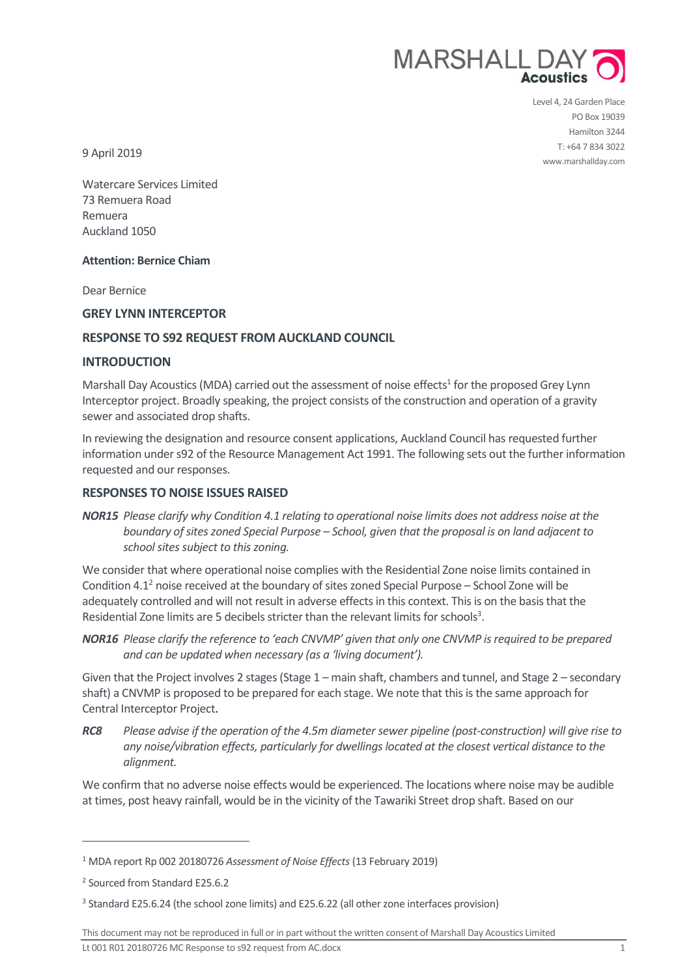

Level 4, 24 Garden Place PO Box 19039 Hamilton 3244 T: +64 7 834 3022 www.marshallday.com

9 April 2019

Watercare Services Limited 73 Remuera Road Remuera Auckland 1050

# **Attention: Bernice Chiam**

Dear Bernice

# **GREY LYNN INTERCEPTOR**

# **RESPONSE TO S92 REQUEST FROM AUCKLAND COUNCIL**

### **INTRODUCTION**

Marshall Day Acoustics (MDA) carried out the assessment of noise effects<sup>1</sup> for the proposed Grey Lynn Interceptor project. Broadly speaking, the project consists of the construction and operation of a gravity sewer and associated drop shafts.

In reviewing the designation and resource consent applications, Auckland Council has requested further information under s92 of the Resource Management Act 1991. The following sets out the further information requested and our responses.

### **RESPONSES TO NOISE ISSUES RAISED**

*NOR15 Please clarify why Condition 4.1 relating to operational noise limits does not address noise at the boundary of sites zoned Special Purpose – School, given that the proposal is on land adjacent to school sites subject to this zoning.*

We consider that where operational noise complies with the Residential Zone noise limits contained in Condition 4.1<sup>2</sup> noise received at the boundary of sites zoned Special Purpose – School Zone will be adequately controlled and will not result in adverse effects in this context. This is on the basis that the Residential Zone limits are 5 decibels stricter than the relevant limits for schools<sup>3</sup>.

*NOR16 Please clarify the reference to 'each CNVMP' given that only one CNVMP is required to be prepared and can be updated when necessary (as a 'living document').*

Given that the Project involves 2 stages (Stage 1 – main shaft, chambers and tunnel, and Stage 2 – secondary shaft) a CNVMP is proposed to be prepared for each stage. We note that this is the same approach for Central Interceptor Project.

*RC8 Please advise if the operation of the 4.5m diameter sewer pipeline (post-construction) will give rise to any noise/vibration effects, particularly for dwellings located at the closest vertical distance to the alignment.*

We confirm that no adverse noise effects would be experienced. The locations where noise may be audible at times, post heavy rainfall, would be in the vicinity of the Tawariki Street drop shaft. Based on our

 $\overline{a}$ 

This document may not be reproduced in full or in part without the written consent of Marshall Day Acoustics Limited

Lt 001 R01 20180726 MC Response to s92 request from AC.docx 1

<sup>1</sup> MDA report Rp 002 20180726 *Assessment of Noise Effects* (13 February 2019)

<sup>2</sup> Sourced from Standard E25.6.2

<sup>&</sup>lt;sup>3</sup> Standard E25.6.24 (the school zone limits) and E25.6.22 (all other zone interfaces provision)